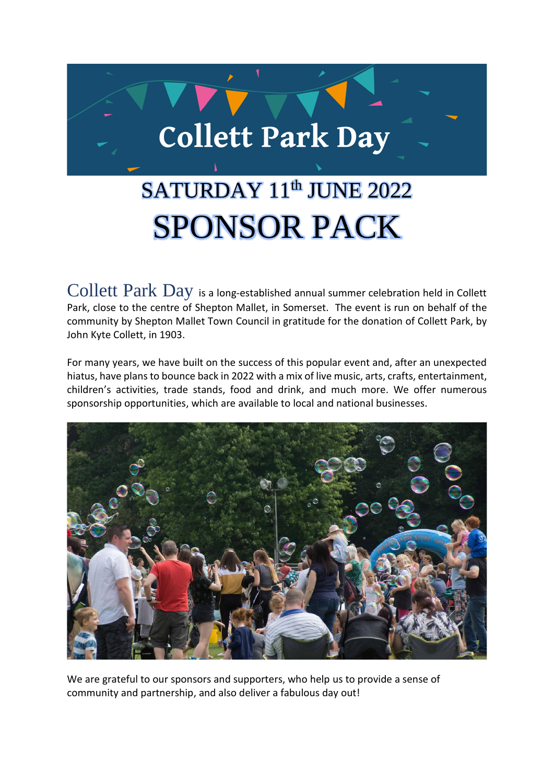

# SATURDAY 11<sup>th</sup> JUNE 2022 SPONSOR PACK

Collett Park Day is a long-established annual summer celebration held in Collett Park, close to the centre of Shepton Mallet, in Somerset. The event is run on behalf of the community by Shepton Mallet Town Council in gratitude for the donation of Collett Park, by John Kyte Collett, in 1903.

For many years, we have built on the success of this popular event and, after an unexpected hiatus, have plans to bounce back in 2022 with a mix of live music, arts, crafts, entertainment, children's activities, trade stands, food and drink, and much more. We offer numerous sponsorship opportunities, which are available to local and national businesses.



We are grateful to our sponsors and supporters, who help us to provide a sense of community and partnership, and also deliver a fabulous day out!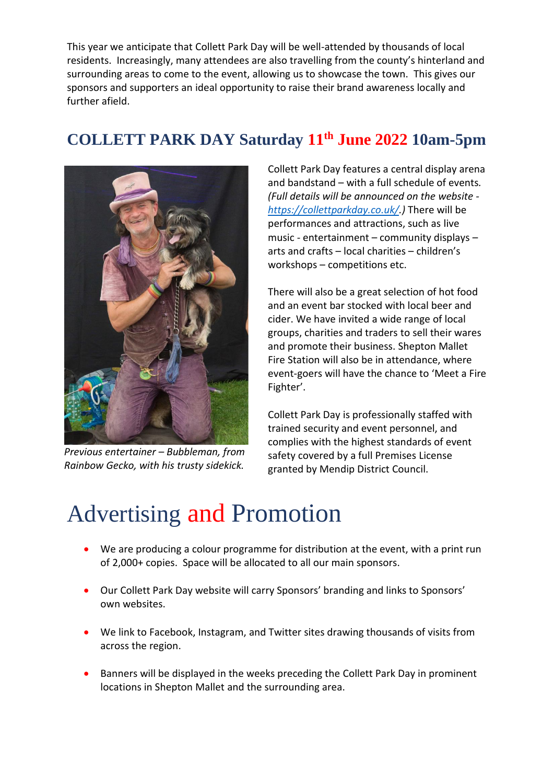This year we anticipate that Collett Park Day will be well-attended by thousands of local residents. Increasingly, many attendees are also travelling from the county's hinterland and surrounding areas to come to the event, allowing us to showcase the town. This gives our sponsors and supporters an ideal opportunity to raise their brand awareness locally and further afield.

#### **COLLETT PARK DAY Saturday 11th June 2022 10am-5pm**



*Previous entertainer – Bubbleman, from Rainbow Gecko, with his trusty sidekick.*

Collett Park Day features a central display arena and bandstand – with a full schedule of events*. (Full details will be announced on the website [https://collettparkday.co.uk/.](https://collettparkday.co.uk/))* There will be performances and attractions, such as live music - entertainment – community displays – arts and crafts – local charities – children's workshops – competitions etc.

There will also be a great selection of hot food and an event bar stocked with local beer and cider. We have invited a wide range of local groups, charities and traders to sell their wares and promote their business. Shepton Mallet Fire Station will also be in attendance, where event-goers will have the chance to 'Meet a Fire Fighter'.

Collett Park Day is professionally staffed with trained security and event personnel, and complies with the highest standards of event safety covered by a full Premises License granted by Mendip District Council.

### Advertising and Promotion

- We are producing a colour programme for distribution at the event, with a print run of 2,000+ copies. Space will be allocated to all our main sponsors.
- Our Collett Park Day website will carry Sponsors' branding and links to Sponsors' own websites.
- We link to Facebook, Instagram, and Twitter sites drawing thousands of visits from across the region.
- Banners will be displayed in the weeks preceding the Collett Park Day in prominent locations in Shepton Mallet and the surrounding area.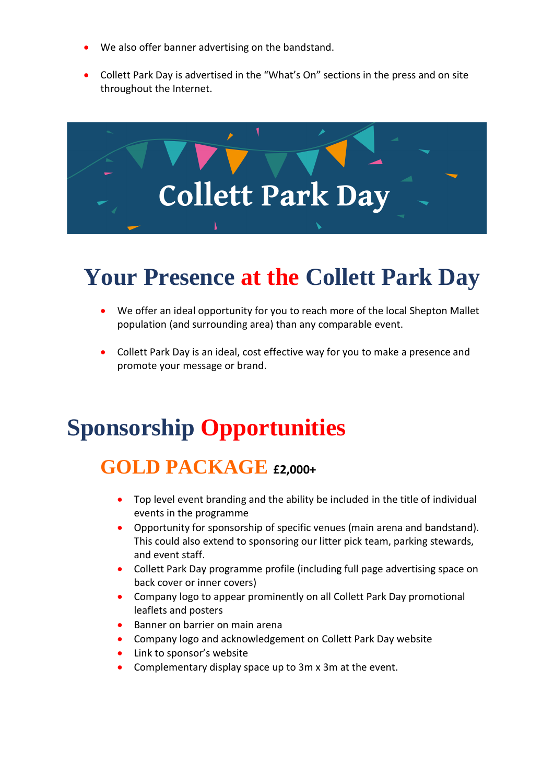- We also offer banner advertising on the bandstand.
- Collett Park Day is advertised in the "What's On" sections in the press and on site throughout the Internet.



### **Your Presence at the Collett Park Day**

- We offer an ideal opportunity for you to reach more of the local Shepton Mallet population (and surrounding area) than any comparable event.
- Collett Park Day is an ideal, cost effective way for you to make a presence and promote your message or brand.

### **Sponsorship Opportunities**

#### **GOLD PACKAGE £2,000+**

- Top level event branding and the ability be included in the title of individual events in the programme
- Opportunity for sponsorship of specific venues (main arena and bandstand). This could also extend to sponsoring our litter pick team, parking stewards, and event staff.
- Collett Park Day programme profile (including full page advertising space on back cover or inner covers)
- Company logo to appear prominently on all Collett Park Day promotional leaflets and posters
- Banner on barrier on main arena
- Company logo and acknowledgement on Collett Park Day website
- Link to sponsor's website
- Complementary display space up to 3m x 3m at the event.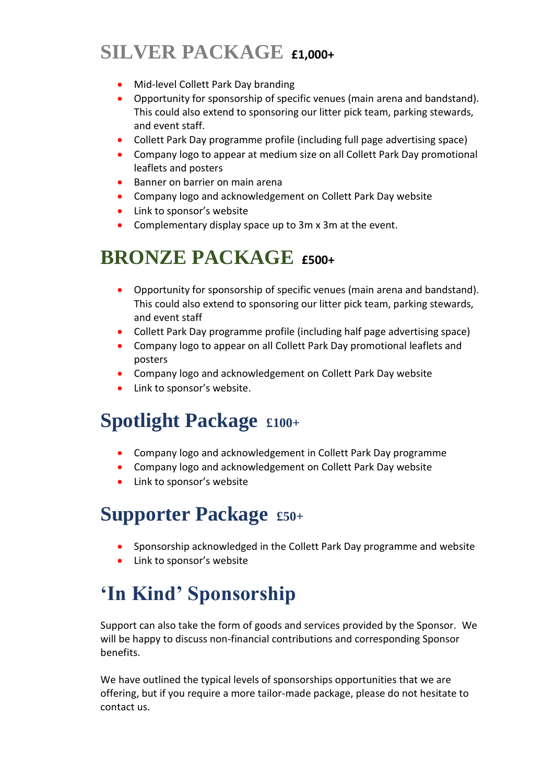#### **SILVER PACKAGE £1,000+**

- Mid-level Collett Park Day branding
- Opportunity for sponsorship of specific venues (main arena and bandstand). This could also extend to sponsoring our litter pick team, parking stewards, and event staff.
- Collett Park Day programme profile (including full page advertising space)
- Company logo to appear at medium size on all Collett Park Day promotional leaflets and posters
- Banner on barrier on main arena
- Company logo and acknowledgement on Collett Park Day website
- Link to sponsor's website
- Complementary display space up to 3m x 3m at the event.

#### **BRONZE PACKAGE £500+**

- Opportunity for sponsorship of specific venues (main arena and bandstand). This could also extend to sponsoring our litter pick team, parking stewards, and event staff
- Collett Park Day programme profile (including half page advertising space)
- Company logo to appear on all Collett Park Day promotional leaflets and posters
- Company logo and acknowledgement on Collett Park Day website
- Link to sponsor's website.

#### **Spotlight Package £100+**

- Company logo and acknowledgement in Collett Park Day programme
- Company logo and acknowledgement on Collett Park Day website
- Link to sponsor's website

#### **Supporter Package £50+**

- Sponsorship acknowledged in the Collett Park Day programme and website
- Link to sponsor's website

### **'In Kind' Sponsorship**

Support can also take the form of goods and services provided by the Sponsor. We will be happy to discuss non-financial contributions and corresponding Sponsor benefits.

We have outlined the typical levels of sponsorships opportunities that we are offering, but if you require a more tailor-made package, please do not hesitate to contact us.